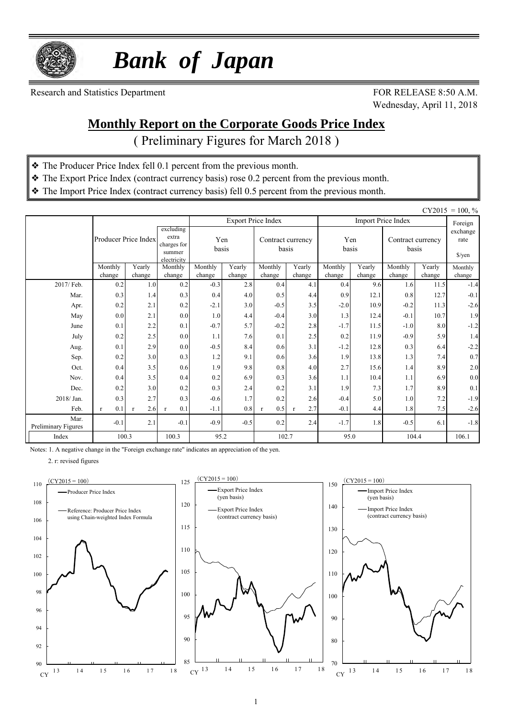

 *Bank of Japan*

Research and Statistics Department FOR RELEASE 8:50 A.M.

Wednesday, April 11, 2018

#### **Monthly Report on the Corporate Goods Price Index**

( Preliminary Figures for March 2018 )

- ❖ The Producer Price Index fell 0.1 percent from the previous month.
- ❖ The Export Price Index (contract currency basis) rose 0.2 percent from the previous month.
- ❖ The Import Price Index (contract currency basis) fell 0.5 percent from the previous month.

|                             |                      |                     |                                                            |                   |                  |                           |                            |                   |                  |                            |                  | $CY2015 = 100, \%$                       |
|-----------------------------|----------------------|---------------------|------------------------------------------------------------|-------------------|------------------|---------------------------|----------------------------|-------------------|------------------|----------------------------|------------------|------------------------------------------|
|                             |                      |                     |                                                            |                   |                  | <b>Export Price Index</b> |                            |                   |                  | <b>Import Price Index</b>  |                  | Foreign                                  |
|                             | Producer Price Index |                     | excluding<br>extra<br>charges for<br>summer<br>electricity |                   | Yen<br>basis     |                           | Contract currency<br>basis |                   | Yen<br>basis     | Contract currency<br>basis |                  | exchange<br>rate<br>$\frac{\sqrt{2}}{2}$ |
|                             | Monthly<br>change    | Yearly<br>change    | Monthly<br>change                                          | Monthly<br>change | Yearly<br>change | Monthly<br>change         | Yearly<br>change           | Monthly<br>change | Yearly<br>change | Monthly<br>change          | Yearly<br>change | Monthly<br>change                        |
| 2017/ Feb.                  | 0.2                  | 1.0                 | 0.2                                                        | $-0.3$            | 2.8              | 0.4                       | 4.1                        | 0.4               | 9.6              | 1.6                        | 11.5             | $-1.4$                                   |
| Mar.                        | 0.3                  | 1.4                 | 0.3                                                        | 0.4               | 4.0              | 0.5                       | 4.4                        | 0.9               | 12.1             | 0.8                        | 12.7             | $-0.1$                                   |
| Apr.                        | 0.2                  | 2.1                 | 0.2                                                        | $-2.1$            | 3.0              | $-0.5$                    | 3.5                        | $-2.0$            | 10.9             | $-0.2$                     | 11.3             | $-2.6$                                   |
| May                         | 0.0                  | 2.1                 | 0.0                                                        | 1.0               | 4.4              | $-0.4$                    | 3.0                        | 1.3               | 12.4             | $-0.1$                     | 10.7             | 1.9                                      |
| June                        | 0.1                  | 2.2                 | 0.1                                                        | $-0.7$            | 5.7              | $-0.2$                    | 2.8                        | $-1.7$            | 11.5             | $-1.0$                     | 8.0              | $-1.2$                                   |
| July                        | 0.2                  | 2.5                 | 0.0                                                        | 1.1               | 7.6              | 0.1                       | 2.5                        | 0.2               | 11.9             | $-0.9$                     | 5.9              | 1.4                                      |
| Aug.                        | 0.1                  | 2.9                 | 0.0                                                        | $-0.5$            | 8.4              | 0.6                       | 3.1                        | $-1.2$            | 12.8             | 0.3                        | 6.4              | $-2.2$                                   |
| Sep.                        | 0.2                  | 3.0                 | 0.3                                                        | 1.2               | 9.1              | 0.6                       | 3.6                        | 1.9               | 13.8             | 1.3                        | 7.4              | 0.7                                      |
| Oct.                        | 0.4                  | 3.5                 | 0.6                                                        | 1.9               | 9.8              | 0.8                       | 4.0                        | 2.7               | 15.6             | 1.4                        | 8.9              | $2.0\,$                                  |
| Nov.                        | 0.4                  | 3.5                 | 0.4                                                        | 0.2               | 6.9              | 0.3                       | 3.6                        | 1.1               | 10.4             | 1.1                        | 6.9              | $0.0\,$                                  |
| Dec.                        | 0.2                  | 3.0                 | 0.2                                                        | 0.3               | 2.4              | 0.2                       | 3.1                        | 1.9               | 7.3              | 1.7                        | 8.9              | 0.1                                      |
| 2018/Jan.                   | 0.3                  | 2.7                 | 0.3                                                        | $-0.6$            | 1.7              | 0.2                       | 2.6                        | $-0.4$            | 5.0              | 1.0                        | 7.2              | $-1.9$                                   |
| Feb.                        | 0.1<br>$\mathbf{r}$  | 2.6<br>$\mathbf{r}$ | 0.1<br>$\mathbf{r}$                                        | $-1.1$            | 0.8              | 0.5<br>$\mathbf{r}$       | 2.7<br>$\mathbf{r}$        | $-0.1$            | 4.4              | 1.8                        | 7.5              | $-2.6$                                   |
| Mar.<br>Preliminary Figures | $-0.1$               | 2.1                 | $-0.1$                                                     | $-0.9$            | $-0.5$           | 0.2                       | 2.4                        | $-1.7$            | 1.8              | $-0.5$                     | 6.1              | $-1.8$                                   |
| Index                       | 100.3                |                     | 100.3                                                      | 95.2              |                  | 102.7                     |                            | 95.0              |                  | 104.4                      |                  | 106.1                                    |

Notes: 1. A negative change in the "Foreign exchange rate" indicates an appreciation of the yen.

2. r: revised figures

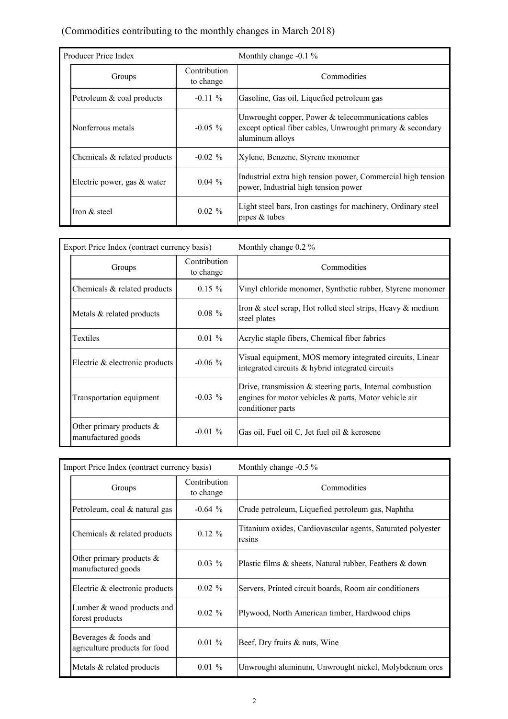#### (Commodities contributing to the monthly changes in March 2018)

| Producer Price Index         |                           | Monthly change $-0.1\%$                                                                                                                   |  |  |  |  |  |
|------------------------------|---------------------------|-------------------------------------------------------------------------------------------------------------------------------------------|--|--|--|--|--|
| Groups                       | Contribution<br>to change | Commodities                                                                                                                               |  |  |  |  |  |
| Petroleum & coal products    | $-0.11\%$                 | Gasoline, Gas oil, Liquefied petroleum gas                                                                                                |  |  |  |  |  |
| Nonferrous metals            | $-0.05\%$                 | Unwrought copper, Power $&$ telecommunications cables<br>except optical fiber cables, Unwrought primary $\&$ secondary<br>aluminum alloys |  |  |  |  |  |
| Chemicals & related products | $-0.02\%$                 | Xylene, Benzene, Styrene monomer                                                                                                          |  |  |  |  |  |
| Electric power, gas & water  | $0.04\%$                  | Industrial extra high tension power, Commercial high tension<br>power, Industrial high tension power                                      |  |  |  |  |  |
| Iron & steel                 | $0.02 \%$                 | Light steel bars, Iron castings for machinery, Ordinary steel<br>pipes $&$ tubes                                                          |  |  |  |  |  |

| Export Price Index (contract currency basis)      |                           | Monthly change 0.2 %                                                                                                                         |
|---------------------------------------------------|---------------------------|----------------------------------------------------------------------------------------------------------------------------------------------|
| Groups                                            | Contribution<br>to change | Commodities                                                                                                                                  |
| Chemicals & related products                      | $0.15 \%$                 | Vinyl chloride monomer, Synthetic rubber, Styrene monomer                                                                                    |
| Metals & related products                         | $0.08 \%$                 | Iron $\&$ steel scrap, Hot rolled steel strips, Heavy $\&$ medium<br>steel plates                                                            |
| Textiles                                          | $0.01 \%$                 | Acrylic staple fibers, Chemical fiber fabrics                                                                                                |
| Electric & electronic products                    | $-0.06\%$                 | Visual equipment, MOS memory integrated circuits, Linear<br>integrated circuits & hybrid integrated circuits                                 |
| Transportation equipment                          | $-0.03\%$                 | Drive, transmission $&$ steering parts, Internal combustion<br>engines for motor vehicles $\&$ parts, Motor vehicle air<br>conditioner parts |
| Other primary products $\&$<br>manufactured goods | $-0.01\%$                 | Gas oil, Fuel oil C, Jet fuel oil & kerosene                                                                                                 |

| Import Price Index (contract currency basis)           |                           | Monthly change $-0.5\%$                                               |
|--------------------------------------------------------|---------------------------|-----------------------------------------------------------------------|
| Groups                                                 | Contribution<br>to change | Commodities                                                           |
| Petroleum, coal & natural gas                          | $-0.64\%$                 | Crude petroleum, Liquefied petroleum gas, Naphtha                     |
| Chemicals & related products                           | $0.12 \%$                 | Titanium oxides, Cardiovascular agents, Saturated polyester<br>resins |
| Other primary products $\&$<br>manufactured goods      | $0.03\%$                  | Plastic films & sheets, Natural rubber, Feathers & down               |
| Electric & electronic products                         | $0.02 \%$                 | Servers, Printed circuit boards, Room air conditioners                |
| Lumber & wood products and<br>forest products          | $0.02 \%$                 | Plywood, North American timber, Hardwood chips                        |
| Beverages & foods and<br>agriculture products for food | $0.01 \%$                 | Beef, Dry fruits & nuts, Wine                                         |
| Metals & related products                              | $0.01 \%$                 | Unwrought aluminum, Unwrought nickel, Molybdenum ores                 |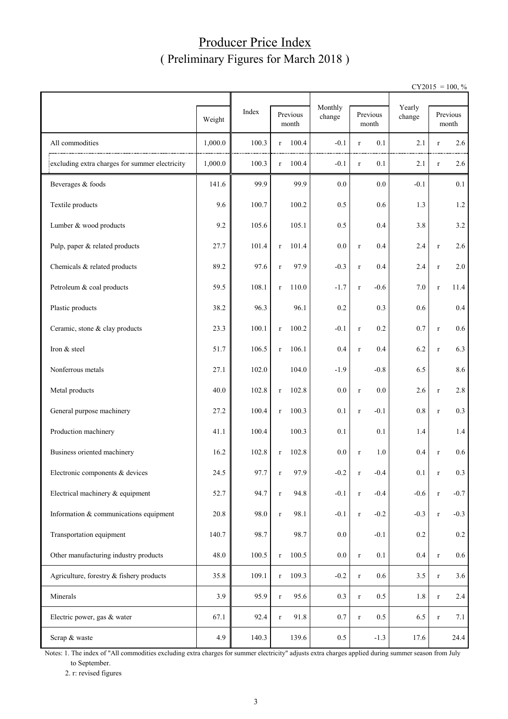#### Producer Price Index ( Preliminary Figures for March 2018 )

 $CY2015 = 100, \%$ 

|                                                |         |       |                   | Monthly |         |             | Yearly            |         |             |                   |
|------------------------------------------------|---------|-------|-------------------|---------|---------|-------------|-------------------|---------|-------------|-------------------|
|                                                | Weight  | Index | Previous<br>month |         | change  |             | Previous<br>month | change  |             | Previous<br>month |
| All commodities                                | 1,000.0 | 100.3 | $\mathbf r$       | 100.4   | $-0.1$  | $\mathbf r$ | 0.1               | 2.1     | $\mathbf r$ | 2.6               |
| excluding extra charges for summer electricity | 1,000.0 | 100.3 | $\mathbf r$       | 100.4   | $-0.1$  | $\mathbf r$ | 0.1               | 2.1     | $\mathbf r$ | 2.6               |
| Beverages & foods                              | 141.6   | 99.9  |                   | 99.9    | 0.0     |             | 0.0               | $-0.1$  |             | 0.1               |
| Textile products                               | 9.6     | 100.7 |                   | 100.2   | 0.5     |             | 0.6               | 1.3     |             | 1.2               |
| Lumber & wood products                         | 9.2     | 105.6 |                   | 105.1   | 0.5     |             | 0.4               | 3.8     |             | $3.2$             |
| Pulp, paper & related products                 | 27.7    | 101.4 | $\mathbf r$       | 101.4   | 0.0     | $\mathbf r$ | 0.4               | 2.4     | $\mathbf r$ | 2.6               |
| Chemicals & related products                   | 89.2    | 97.6  | $\mathbf r$       | 97.9    | $-0.3$  | $\mathbf r$ | 0.4               | 2.4     | $\mathbf r$ | 2.0               |
| Petroleum & coal products                      | 59.5    | 108.1 | $\mathbf r$       | 110.0   | $-1.7$  | $\mathbf r$ | $-0.6$            | 7.0     | $\mathbf r$ | 11.4              |
| Plastic products                               | 38.2    | 96.3  |                   | 96.1    | 0.2     |             | 0.3               | 0.6     |             | 0.4               |
| Ceramic, stone & clay products                 | 23.3    | 100.1 | $\mathbf r$       | 100.2   | $-0.1$  | $\mathbf r$ | 0.2               | 0.7     | $\mathbf r$ | 0.6               |
| Iron & steel                                   | 51.7    | 106.5 | $\mathbf r$       | 106.1   | 0.4     | $\mathbf r$ | 0.4               | 6.2     | $\mathbf r$ | 6.3               |
| Nonferrous metals                              | 27.1    | 102.0 |                   | 104.0   | $-1.9$  |             | $-0.8$            | 6.5     |             | 8.6               |
| Metal products                                 | 40.0    | 102.8 | $\mathbf r$       | 102.8   | 0.0     | $\mathbf r$ | 0.0               | 2.6     | $\mathbf r$ | 2.8               |
| General purpose machinery                      | 27.2    | 100.4 | $\mathbf r$       | 100.3   | 0.1     | $\mathbf r$ | $-0.1$            | $0.8\,$ | $\mathbf r$ | 0.3               |
| Production machinery                           | 41.1    | 100.4 |                   | 100.3   | 0.1     |             | 0.1               | 1.4     |             | 1.4               |
| Business oriented machinery                    | 16.2    | 102.8 | $\mathbf r$       | 102.8   | 0.0     | $\mathbf r$ | 1.0               | 0.4     | $\mathbf r$ | 0.6               |
| Electronic components & devices                | 24.5    | 97.7  | r                 | 97.9    | $-0.2$  | r           | $-0.4$            | $0.1\,$ | r           | 0.3               |
| Electrical machinery & equipment               | 52.7    | 94.7  | $\mathbf r$       | 94.8    | $-0.1$  | $\mathbf r$ | $-0.4$            | $-0.6$  | $\, r$      | $-0.7$            |
| Information & communications equipment         | 20.8    | 98.0  | $\mathbf r$       | 98.1    | $-0.1$  | $\mathbf r$ | $-0.2$            | $-0.3$  | $\, r$      | $-0.3$            |
| Transportation equipment                       | 140.7   | 98.7  |                   | 98.7    | 0.0     |             | $-0.1$            | 0.2     |             | $0.2\,$           |
| Other manufacturing industry products          | 48.0    | 100.5 | $\Gamma$          | 100.5   | $0.0\,$ | $\mathbf r$ | 0.1               | 0.4     | $\mathbf r$ | 0.6               |
| Agriculture, forestry & fishery products       | 35.8    | 109.1 | $\mathbf{r}$      | 109.3   | $-0.2$  | $\mathbf r$ | 0.6               | 3.5     | $\mathbf r$ | 3.6               |
| Minerals                                       | 3.9     | 95.9  | $\mathbf r$       | 95.6    | $0.3\,$ | $\mathbf r$ | 0.5               | $1.8\,$ | $\mathbf r$ | 2.4               |
| Electric power, gas & water                    | 67.1    | 92.4  | $\mathbf r$       | 91.8    | 0.7     | $\mathbf r$ | 0.5               | 6.5     | $\mathbf r$ | 7.1               |
| Scrap & waste                                  | 4.9     | 140.3 |                   | 139.6   | $0.5\,$ |             | $-1.3$            | 17.6    |             | 24.4              |

Notes: 1. The index of "All commodities excluding extra charges for summer electricity" adjusts extra charges applied during summer season from July to September.

2. r: revised figures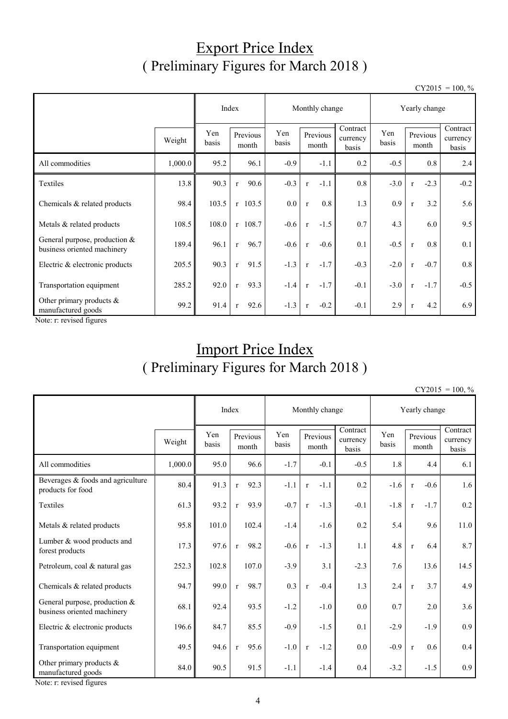## Export Price Index ( Preliminary Figures for March 2018 )

 $CY2015 = 100, \%$ 

|                                                                |         |                                   | Index                |              | Monthly change         |                               |        | Yearly change          |                               |  |  |
|----------------------------------------------------------------|---------|-----------------------------------|----------------------|--------------|------------------------|-------------------------------|--------|------------------------|-------------------------------|--|--|
|                                                                | Weight  | Yen<br>Previous<br>basis<br>month |                      | Yen<br>basis | Previous<br>month      | Contract<br>currency<br>basis |        | Previous<br>month      | Contract<br>currency<br>basis |  |  |
| All commodities                                                | 1,000.0 | 95.2                              | 96.1                 | $-0.9$       | $-1.1$                 | 0.2                           | $-0.5$ | 0.8                    | 2.4                           |  |  |
| Textiles                                                       | 13.8    | 90.3                              | 90.6<br>r            | $-0.3$       | $-1.1$<br>$\mathbf{r}$ | 0.8                           | $-3.0$ | $-2.3$<br>$\mathbf{r}$ | $-0.2$                        |  |  |
| Chemicals & related products                                   | 98.4    | 103.5                             | $r$ 103.5            | 0.0          | 0.8<br>$\mathbf{r}$    | 1.3                           | 0.9    | 3.2<br>$\mathbf{r}$    | 5.6                           |  |  |
| Metals & related products                                      | 108.5   | 108.0                             | $r$ 108.7            | $-0.6$       | $-1.5$<br>$\mathbf{r}$ | 0.7                           | 4.3    | 6.0                    | 9.5                           |  |  |
| General purpose, production $&$<br>business oriented machinery | 189.4   | 96.1                              | 96.7<br>$\mathbf{r}$ | $-0.6$       | $-0.6$<br>$\mathbf{r}$ | 0.1                           | $-0.5$ | 0.8<br>$\mathbf{r}$    | 0.1                           |  |  |
| Electric & electronic products                                 | 205.5   | 90.3                              | 91.5<br>$\mathbf{r}$ | $-1.3$       | $-1.7$<br>$\mathbf{r}$ | $-0.3$                        | $-2.0$ | $-0.7$<br>$\mathbf{r}$ | 0.8                           |  |  |
| Transportation equipment                                       | 285.2   | 92.0                              | 93.3<br>$\mathbf{r}$ | $-1.4$       | $-1.7$<br>$\mathbf{r}$ | $-0.1$                        | $-3.0$ | $-1.7$<br>$\mathbf{r}$ | $-0.5$                        |  |  |
| Other primary products $\&$<br>manufactured goods              | 99.2    | 91.4                              | 92.6<br>$\mathbf{r}$ | $-1.3$       | $-0.2$<br>$\mathbf{r}$ | $-0.1$                        | 2.9    | 4.2<br>$\mathbf{r}$    | 6.9                           |  |  |

Note: r: revised figures

## Import Price Index ( Preliminary Figures for March 2018 )

 $CY2015 = 100, \%$ 

|                                                              |         | Index        |                      | Monthly change |                        | Yearly change                 |              |                        |                               |
|--------------------------------------------------------------|---------|--------------|----------------------|----------------|------------------------|-------------------------------|--------------|------------------------|-------------------------------|
|                                                              | Weight  | Yen<br>basis | Previous<br>month    | Yen<br>basis   | Previous<br>month      | Contract<br>currency<br>basis | Yen<br>basis | Previous<br>month      | Contract<br>currency<br>basis |
| All commodities                                              | 1,000.0 | 95.0         | 96.6                 | $-1.7$         | $-0.1$                 | $-0.5$                        | 1.8          | 4.4                    | 6.1                           |
| Beverages & foods and agriculture<br>products for food       | 80.4    | 91.3         | 92.3<br>$\mathbf{r}$ | $-1.1$         | $-1.1$<br>$\mathbf r$  | 0.2                           | $-1.6$       | $-0.6$<br>$\mathbf r$  | 1.6                           |
| Textiles                                                     | 61.3    | 93.2         | 93.9<br>$\mathbf{r}$ | $-0.7$         | $-1.3$<br>$\mathbf{r}$ | $-0.1$                        | $-1.8$       | $-1.7$<br>$\mathbf{r}$ | 0.2                           |
| Metals & related products                                    | 95.8    | 101.0        | 102.4                | $-1.4$         | $-1.6$                 | 0.2                           | 5.4          | 9.6                    | 11.0                          |
| Lumber & wood products and<br>forest products                | 17.3    | 97.6         | 98.2<br>$\mathbf{r}$ | $-0.6$         | $-1.3$<br>$\mathbf{r}$ | 1.1                           | 4.8          | 6.4<br>$\mathbf{r}$    | 8.7                           |
| Petroleum, coal & natural gas                                | 252.3   | 102.8        | 107.0                | $-3.9$         | 3.1                    | $-2.3$                        | 7.6          | 13.6                   | 14.5                          |
| Chemicals & related products                                 | 94.7    | 99.0         | 98.7<br>$\mathbf{r}$ | 0.3            | $-0.4$<br>$\mathbf{r}$ | 1.3                           | 2.4          | 3.7<br>$\mathbf r$     | 4.9                           |
| General purpose, production &<br>business oriented machinery | 68.1    | 92.4         | 93.5                 | $-1.2$         | $-1.0$                 | 0.0                           | 0.7          | 2.0                    | 3.6                           |
| Electric & electronic products                               | 196.6   | 84.7         | 85.5                 | $-0.9$         | $-1.5$                 | 0.1                           | $-2.9$       | $-1.9$                 | 0.9                           |
| Transportation equipment                                     | 49.5    | 94.6         | 95.6<br>$\mathbf{r}$ | $-1.0$         | $-1.2$<br>$\mathbf{r}$ | 0.0                           | $-0.9$       | 0.6<br>$\mathbf r$     | 0.4                           |
| Other primary products $\&$<br>manufactured goods            | 84.0    | 90.5         | 91.5                 | $-1.1$         | $-1.4$                 | 0.4                           | $-3.2$       | $-1.5$                 | 0.9                           |

Note: r: revised figures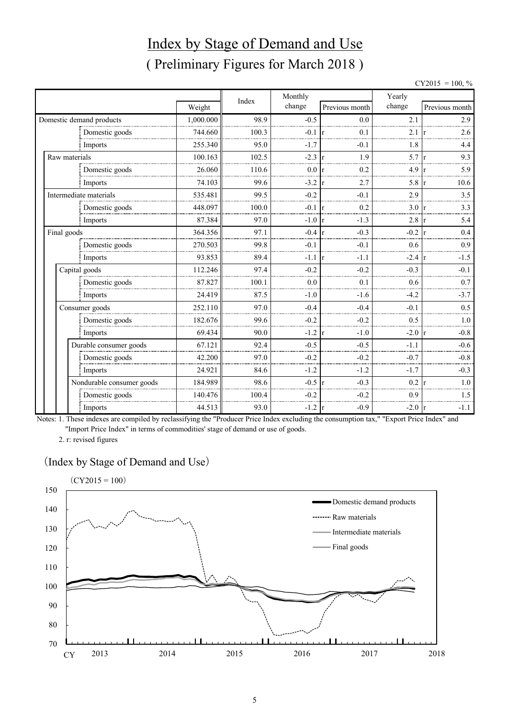# Index by Stage of Demand and Use ( Preliminary Figures for March 2018 )

 $CY2015 = 100, \%$ 

|             |                           |           |       | Monthly          |                                  | Yearly |                          |  |
|-------------|---------------------------|-----------|-------|------------------|----------------------------------|--------|--------------------------|--|
|             |                           | Weight    | Index | change           | Previous month                   | change | Previous month           |  |
|             | Domestic demand products  | 1,000.000 | 98.9  | $-0.5$           | 0.0                              | 2.1    | 2.9                      |  |
|             | Domestic goods            | 744.660   | 100.3 | $-0.1$           | 0.1<br>l r                       | 2.1    | 2.6                      |  |
|             | Imports                   | 255.340   | 95.0  | $-1.7$           | $-0.1$                           | 1.8    | 4.4                      |  |
|             | Raw materials             | 100.163   | 102.5 | $-2.3$           | 1.9<br>$\mathsf{r}$              | 5.7    | 9.3                      |  |
|             | Domestic goods            | 26.060    | 110.6 | 0.0              | 0.2<br>r                         | 4.9    | 5.9                      |  |
|             | Imports                   | 74.103    | 99.6  | $-3.2$           | 2.7<br>$\mathbf{r}$              | 5.8    | 10.6                     |  |
|             | Intermediate materials    | 535.481   | 99.5  | $-0.2$           | $-0.1$                           | 2.9    | 3.5                      |  |
|             | Domestic goods            | 448.097   | 100.0 | $-0.1$           | 0.2<br>r                         | 3.0    | 3.3                      |  |
|             | Imports                   | 87.384    | 97.0  | $-1.0$           | $-1.3$<br>$\mathsf{I}\mathsf{r}$ | 2.8    | 5.4                      |  |
| Final goods |                           | 364.356   | 97.1  | $-0.4$           | $-0.3$<br>$\mathbf{r}$           | $-0.2$ | 0.4                      |  |
|             | Domestic goods            | 270.503   | 99.8  | $-0.1$           | $-0.1$                           | 0.6    | 0.9                      |  |
|             | Imports                   | 93.853    | 89.4  | $-1.1$           | $-1.1$<br>-lr                    | $-2.4$ | $-1.5$                   |  |
|             | Capital goods             | 112.246   | 97.4  | $-0.2$           | $-0.2$                           | $-0.3$ | $-0.1$                   |  |
|             | Domestic goods            | 87.827    | 100.1 | 0.0              | 0.1                              | 0.6    | 0.7                      |  |
|             | Imports                   | 24.419    | 87.5  | $-1.0$           | $-1.6$                           | $-4.2$ | $-3.7$                   |  |
|             | Consumer goods            | 252.110   | 97.0  | $-0.4$           | $-0.4$                           | $-0.1$ | 0.5                      |  |
|             | Domestic goods            | 182.676   | 99.6  | $-0.2$           | $-0.2$                           | 0.5    | $1.0\,$                  |  |
|             | Imports                   | 69.434    | 90.0  | $-1.2$           | $-1.0$<br>$\mathbf{r}$           | $-2.0$ | $-0.8$<br>$\mathsf{I}$ r |  |
|             | Durable consumer goods    | 67.121    | 92.4  | $-0.5$           | $-0.5$                           | $-1.1$ | $-0.6$                   |  |
|             | Domestic goods            | 42.200    | 97.0  | $-0.2$           | $-0.2$                           | $-0.7$ | $-0.8$                   |  |
|             | Imports                   | 24.921    | 84.6  | $-1.2$           | $-1.2$                           | $-1.7$ | $-0.3$                   |  |
|             | Nondurable consumer goods | 184.989   | 98.6  | $-0.5 \text{ r}$ | $-0.3$                           | 0.2    | $1.0\,$                  |  |
|             | Domestic goods            | 140.476   | 100.4 | $-0.2$           | $-0.2$                           | 0.9    | 1.5                      |  |
|             | Imports                   | 44.513    | 93.0  | $-1.2$           | $-0.9$<br>$\vert$ r              | $-2.0$ | $-1.1$<br>$\mathbf{r}$   |  |

Notes: 1. These indexes are compiled by reclassifying the "Producer Price Index excluding the consumption tax," "Export Price Index" and "Import Price Index" in terms of commodities' stage of demand or use of goods.

2. r: revised figures

#### (Index by Stage of Demand and Use)

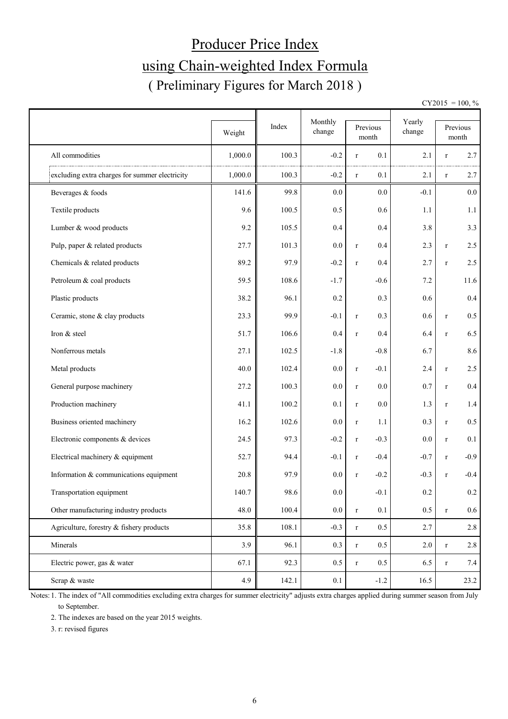# Producer Price Index using Chain-weighted Index Formula ( Preliminary Figures for March 2018 )

 $CY2015 = 100, \%$ 

|                                                |         | Index | Monthly | Previous              | Yearly  |              | Previous |
|------------------------------------------------|---------|-------|---------|-----------------------|---------|--------------|----------|
|                                                | Weight  |       | change  | month                 | change  |              | month    |
| All commodities                                | 1,000.0 | 100.3 | $-0.2$  | 0.1<br>$\mathbf r$    | 2.1     | r            | 2.7      |
| excluding extra charges for summer electricity | 1,000.0 | 100.3 | $-0.2$  | 0.1<br>$\mathbf r$    | 2.1     | $r_{\rm}$    | 2.7      |
| Beverages & foods                              | 141.6   | 99.8  | 0.0     | 0.0                   | $-0.1$  |              | 0.0      |
| Textile products                               | 9.6     | 100.5 | 0.5     | 0.6                   | 1.1     |              | 1.1      |
| Lumber & wood products                         | 9.2     | 105.5 | 0.4     | 0.4                   | 3.8     |              | 3.3      |
| Pulp, paper & related products                 | 27.7    | 101.3 | 0.0     | 0.4<br>$\mathbf r$    | 2.3     | $\mathbf r$  | 2.5      |
| Chemicals & related products                   | 89.2    | 97.9  | $-0.2$  | 0.4<br>$\mathbf r$    | 2.7     | $\mathbf r$  | 2.5      |
| Petroleum & coal products                      | 59.5    | 108.6 | $-1.7$  | $-0.6$                | 7.2     |              | 11.6     |
| Plastic products                               | 38.2    | 96.1  | 0.2     | 0.3                   | 0.6     |              | $0.4\,$  |
| Ceramic, stone & clay products                 | 23.3    | 99.9  | $-0.1$  | 0.3<br>$\mathbf r$    | 0.6     | $\mathbf r$  | 0.5      |
| Iron & steel                                   | 51.7    | 106.6 | 0.4     | 0.4<br>$\mathbf r$    | 6.4     | $\mathbf r$  | 6.5      |
| Nonferrous metals                              | 27.1    | 102.5 | $-1.8$  | $-0.8$                | 6.7     |              | 8.6      |
| Metal products                                 | 40.0    | 102.4 | 0.0     | $-0.1$<br>$\mathbf r$ | 2.4     | $\mathbf r$  | 2.5      |
| General purpose machinery                      | 27.2    | 100.3 | 0.0     | 0.0<br>$\mathbf r$    | 0.7     | $\mathbf r$  | 0.4      |
| Production machinery                           | 41.1    | 100.2 | 0.1     | 0.0<br>$\mathbf r$    | 1.3     | $\mathbf r$  | 1.4      |
| Business oriented machinery                    | 16.2    | 102.6 | 0.0     | 1.1<br>$\mathbf r$    | 0.3     | $\mathbf r$  | $0.5\,$  |
| Electronic components & devices                | 24.5    | 97.3  | $-0.2$  | $-0.3$<br>$\mathbf r$ | 0.0     | $\mathbf r$  | 0.1      |
| Electrical machinery & equipment               | 52.7    | 94.4  | $-0.1$  | $-0.4$<br>$\mathbf r$ | $-0.7$  | $\mathbf r$  | $-0.9$   |
| Information & communications equipment         | 20.8    | 97.9  | 0.0     | $-0.2$<br>$\mathbf r$ | $-0.3$  | $\mathbf{r}$ | $-0.4$   |
| Transportation equipment                       | 140.7   | 98.6  | $0.0\,$ | $-0.1$                | 0.2     |              | $0.2\,$  |
| Other manufacturing industry products          | 48.0    | 100.4 | $0.0\,$ | 0.1<br>$\mathbf r$    | 0.5     | $\mathbf r$  | $0.6\,$  |
| Agriculture, forestry & fishery products       | 35.8    | 108.1 | $-0.3$  | 0.5<br>$\mathbf r$    | 2.7     |              | 2.8      |
| Minerals                                       | 3.9     | 96.1  | 0.3     | 0.5<br>$\mathbf r$    | $2.0\,$ | $\mathbf r$  | 2.8      |
| Electric power, gas & water                    | 67.1    | 92.3  | 0.5     | 0.5<br>$\mathbf r$    | 6.5     | $\mathbf r$  | 7.4      |
| Scrap & waste                                  | 4.9     | 142.1 | 0.1     | $-1.2$                | 16.5    |              | 23.2     |

Notes: 1. The index of "All commodities excluding extra charges for summer electricity" adjusts extra charges applied during summer season from July to September.

2. The indexes are based on the year 2015 weights.

3. r: revised figures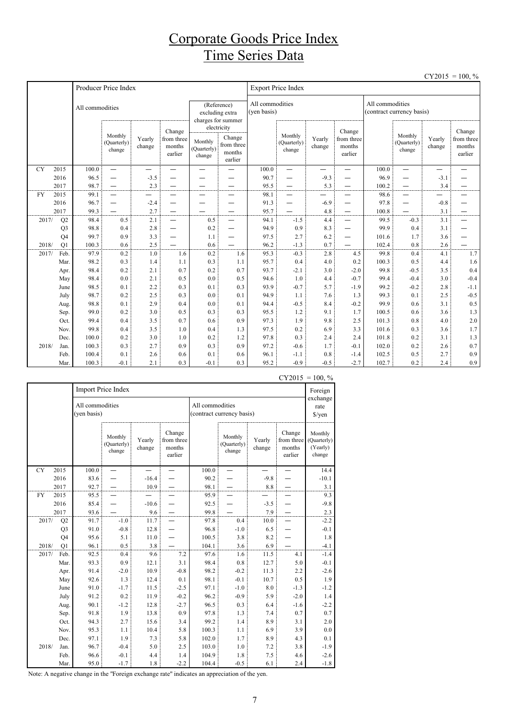#### Corporate Goods Price Index Time Series Data

|           |                |                 |                                  |                  |                                           |                                  |                                                          |                                |                                                      |                  |                                                      |                 |                                  |                          | $CY2015 = 100, \%$                        |
|-----------|----------------|-----------------|----------------------------------|------------------|-------------------------------------------|----------------------------------|----------------------------------------------------------|--------------------------------|------------------------------------------------------|------------------|------------------------------------------------------|-----------------|----------------------------------|--------------------------|-------------------------------------------|
|           |                |                 | Producer Price Index             |                  |                                           |                                  |                                                          |                                | <b>Export Price Index</b>                            |                  |                                                      |                 |                                  |                          |                                           |
|           |                | All commodities |                                  |                  |                                           |                                  | (Reference)<br>excluding extra<br>charges for summer     | All commodities<br>(yen basis) |                                                      |                  |                                                      | All commodities | (contract currency basis)        |                          |                                           |
|           |                |                 | Monthly<br>(Quarterly)<br>change | Yearly<br>change | Change<br>from three<br>months<br>earlier | Monthly<br>(Quarterly)<br>change | electricity<br>Change<br>from three<br>months<br>earlier |                                | Monthly<br>(Quarterly)<br>change                     | Yearly<br>change | Change<br>from three<br>months<br>earlier            |                 | Monthly<br>(Quarterly)<br>change | Yearly<br>change         | Change<br>from three<br>months<br>earlier |
| <b>CY</b> | 2015           | 100.0           | $\overline{\phantom{0}}$         | —                | —<br>—                                    | —<br>—                           |                                                          | 100.0                          | —                                                    | —                | —<br>—                                               | 100.0           | $\overline{\phantom{0}}$         | $\overline{\phantom{0}}$ |                                           |
|           | 2016           | 96.5            |                                  | $-3.5$           |                                           |                                  |                                                          | 90.7                           | —                                                    | $-9.3$           |                                                      | 96.9            | —                                | $-3.1$                   |                                           |
|           | 2017           | 98.7            |                                  | 2.3              |                                           | —                                | —                                                        | 95.5                           |                                                      | 5.3              | $\qquad \qquad -$                                    | 100.2           | $\overline{\phantom{0}}$         | 3.4                      |                                           |
| <b>FY</b> | 2015           | 99.1            | $\overline{\phantom{0}}$         | —                | —                                         | -                                | $\overline{\phantom{0}}$                                 | 98.1                           | —                                                    |                  |                                                      | 98.6            | —                                |                          |                                           |
|           | 2016<br>2017   | 96.7<br>99.3    | $\overline{\phantom{0}}$         | $-2.4$<br>2.7    | —                                         |                                  | $\overline{\phantom{0}}$<br>—                            | 91.3<br>95.7                   | $\overline{\phantom{0}}$<br>$\overline{\phantom{0}}$ | $-6.9$<br>4.8    | $\overline{\phantom{0}}$<br>$\overline{\phantom{0}}$ | 97.8<br>100.8   | —<br>$\overline{\phantom{0}}$    | $-0.8$<br>3.1            | —                                         |
| 2017/     | Q2             | 98.4            | 0.5                              | 2.1              | $\equiv$                                  | 0.5                              | $\equiv$                                                 | 94.1                           | $-1.5$                                               | 4.4              |                                                      | 99.5            | $-0.3$                           | 3.1                      | $\overline{\phantom{0}}$                  |
|           | Q <sub>3</sub> | 98.8            | 0.4                              | 2.8              | $\overbrace{\phantom{1232211}}$           | 0.2                              |                                                          | 94.9                           | 0.9                                                  | 8.3              |                                                      | 99.9            | 0.4                              | 3.1                      |                                           |
|           | Q <sub>4</sub> | 99.7            | 0.9                              | 3.3              | —                                         | 1.1                              | $\overline{\phantom{0}}$                                 | 97.5                           | 2.7                                                  | 6.2              | $\overline{\phantom{0}}$                             | 101.6           | 1.7                              | 3.6                      |                                           |
| 2018/     | Q1             | 100.3           | 0.6                              | 2.5              |                                           | 0.6                              |                                                          | 96.2                           | $-1.3$                                               | 0.7              |                                                      | 102.4           | 0.8                              | 2.6                      |                                           |
| 2017/     | Feb.           | 97.9            | 0.2                              | 1.0              | 1.6                                       | 0.2                              | 1.6                                                      | 95.3                           | $-0.3$                                               | 2.8              | 4.5                                                  | 99.8            | 0.4                              | 4.1                      | 1.7                                       |
|           | Mar.           | 98.2            | 0.3                              | 1.4              | 1.1                                       | 0.3                              | 1.1                                                      | 95.7                           | 0.4                                                  | 4.0              | 0.2                                                  | 100.3           | 0.5                              | 4.4                      | 1.6                                       |
|           | Apr.           | 98.4            | 0.2                              | 2.1              | 0.7                                       | 0.2                              | 0.7                                                      | 93.7                           | $-2.1$                                               | 3.0              | $-2.0$                                               | 99.8            | $-0.5$                           | 3.5                      | 0.4                                       |
|           | May            | 98.4            | 0.0                              | 2.1              | 0.5                                       | 0.0                              | 0.5                                                      | 94.6                           | 1.0                                                  | 4.4              | $-0.7$                                               | 99.4            | $-0.4$                           | 3.0                      | $-0.4$                                    |
|           | June           | 98.5            | 0.1                              | 2.2              | 0.3                                       | 0.1                              | 0.3                                                      | 93.9                           | $-0.7$                                               | 5.7              | $-1.9$                                               | 99.2            | $-0.2$                           | 2.8                      | $-1.1$                                    |
|           | July           | 98.7            | 0.2                              | 2.5              | 0.3                                       | 0.0                              | 0.1                                                      | 94.9                           | 1.1                                                  | 7.6              | 1.3                                                  | 99.3            | 0.1                              | 2.5                      | $-0.5$                                    |
|           | Aug            | 98.8            | 0.1                              | 2.9              | 0.4                                       | 0.0                              | 0.1                                                      | 94.4                           | $-0.5$                                               | 8.4              | $-0.2$                                               | 99.9            | 0.6                              | 3.1                      | 0.5                                       |
|           | Sep.           | 99.0            | 0.2                              | 3.0              | 0.5                                       | 0.3                              | 0.3                                                      | 95.5                           | 1.2                                                  | 9.1              | 1.7                                                  | 100.5           | 0.6                              | 3.6                      | 1.3                                       |
|           | Oct.           | 99.4            | 0.4                              | 3.5              | 0.7                                       | 0.6                              | 0.9                                                      | 97.3                           | 1.9                                                  | 9.8              | 2.5                                                  | 101.3           | 0.8                              | 4.0                      | $2.0$                                     |
|           | Nov.           | 99.8            | 0.4                              | 3.5              | 1.0                                       | 0.4                              | 1.3                                                      | 97.5                           | 0.2                                                  | 6.9              | 3.3                                                  | 101.6           | 0.3                              | 3.6                      | 1.7                                       |
|           | Dec.           | 100.0           | 0.2                              | 3.0              | 1.0                                       | 0.2                              | 1.2                                                      | 97.8                           | 0.3                                                  | 2.4              | 2.4                                                  | 101.8           | 0.2                              | 3.1                      | 1.3                                       |
| 2018/     | Jan.           | 100.3           | 0.3                              | 2.7              | 0.9                                       | 0.3                              | 0.9                                                      | 97.2                           | $-0.6$                                               | 1.7              | $-0.1$                                               | 102.0           | 0.2                              | 2.6                      | 0.7                                       |
|           | Feb.           | 100.4           | 0.1                              | 2.6              | 0.6                                       | 0.1                              | 0.6                                                      | 96.1                           | $-1.1$                                               | 0.8              | $-1.4$                                               | 102.5           | 0.5                              | 2.7                      | 0.9                                       |
|           | Mar.           | 100.3           | $-0.1$                           | 2.1              | 0.3                                       | $-0.1$                           | 0.3                                                      | 95.2                           | $-0.9$                                               | $-0.5$           | $-2.7$                                               | 102.7           | 0.2                              | 2.4                      | 0.9                                       |

|           |                |                                | Import Price Index               |                  |                                           |                 |                                  |                  |                                           | Foreign                                      |
|-----------|----------------|--------------------------------|----------------------------------|------------------|-------------------------------------------|-----------------|----------------------------------|------------------|-------------------------------------------|----------------------------------------------|
|           |                | All commodities<br>(yen basis) |                                  |                  |                                           | All commodities | (contract currency basis)        |                  |                                           | exchange<br>rate<br>$\frac{\sqrt{2}}{2}$     |
|           |                |                                | Monthly<br>(Quarterly)<br>change | Yearly<br>change | Change<br>from three<br>months<br>earlier |                 | Monthly<br>(Quarterly)<br>change | Yearly<br>change | Change<br>from three<br>months<br>earlier | Monthly<br>(Quarterly)<br>(Yearly)<br>change |
| <b>CY</b> | 2015           | 100.0                          |                                  |                  |                                           | 100.0           |                                  |                  |                                           | 14.4                                         |
|           | 2016           | 83.6                           |                                  | $-16.4$          |                                           | 90.2            |                                  | $-9.8$           |                                           | $-10.1$                                      |
|           | 2017           | 92.7                           |                                  | 10.9             |                                           | 98.1            |                                  | 8.8              |                                           | 3.1                                          |
| <b>FY</b> | 2015           | 95.5                           |                                  |                  |                                           | 95.9            |                                  |                  |                                           | 9.3                                          |
|           | 2016           | 85.4                           |                                  | $-10.6$          |                                           | 92.5            |                                  | $-3.5$           |                                           | $-9.8$                                       |
|           | 2017           | 93.6                           |                                  | 9.6              |                                           | 99.8            |                                  | 7.9              |                                           | 2.3                                          |
| 2017/     | Q2             | 91.7                           | $-1.0$                           | 11.7             |                                           | 97.8            | 0.4                              | 10.0             |                                           | $-2.2$                                       |
|           | Q <sub>3</sub> | 91.0                           | $-0.8$                           | 12.8             |                                           | 96.8            | $-1.0$                           | 6.5              |                                           | $-0.1$                                       |
|           | Q4             | 95.6                           | 5.1                              | 11.0             |                                           | 100.5           | 3.8                              | 8.2              |                                           | 1.8                                          |
| 2018/     | Q1             | 96.1                           | 0.5                              | 3.8              |                                           | 104.1           | 3.6                              | 6.9              |                                           | $-4.1$                                       |
| 2017/     | Feb.           | 92.5                           | 0.4                              | 9.6              | 7.2                                       | 97.6            | 1.6                              | 11.5             | 4.1                                       | $-1.4$                                       |
|           | Mar.           | 93.3                           | 0.9                              | 12.1             | 3.1                                       | 98.4            | 0.8                              | 12.7             | 5.0                                       | $-0.1$                                       |
|           | Apr.           | 91.4                           | $-2.0$                           | 10.9             | $-0.8$                                    | 98.2            | $-0.2$                           | 11.3             | 2.2                                       | $-2.6$                                       |
|           | May            | 92.6                           | 1.3                              | 12.4             | 0.1                                       | 98.1            | $-0.1$                           | 10.7             | 0.5                                       | 1.9                                          |
|           | June           | 91.0                           | $-1.7$                           | 11.5             | $-2.5$                                    | 97.1            | $-1.0$                           | 8.0              | $-1.3$                                    | $-1.2$                                       |
|           | July           | 91.2                           | 0.2                              | 11.9             | $-0.2$                                    | 96.2            | $-0.9$                           | 5.9              | $-2.0$                                    | 1.4                                          |
|           | Aug.           | 90.1                           | $-1.2$                           | 12.8             | $-2.7$                                    | 96.5            | 0.3                              | 6.4              | $-1.6$                                    | $-2.2$                                       |
|           | Sep.           | 91.8                           | 1.9                              | 13.8             | 0.9                                       | 97.8            | 1.3                              | 7.4              | 0.7                                       | 0.7                                          |
|           | Oct.           | 94.3                           | 2.7                              | 15.6             | 3.4                                       | 99.2            | 1.4                              | 8.9              | 3.1                                       | 2.0                                          |
|           | Nov.           | 95.3                           | 1.1                              | 10.4             | 5.8                                       | 100.3           | 1.1                              | 6.9              | 3.9                                       | 0.0                                          |
|           | Dec.           | 97.1                           | 1.9                              | 7.3              | 5.8                                       | 102.0           | 1.7                              | 8.9              | 4.3                                       | 0.1                                          |
| 2018/     | Jan.           | 96.7                           | $-0.4$                           | 5.0              | 2.5                                       | 103.0           | $1.0\,$                          | 7.2              | 3.8                                       | $-1.9$                                       |
|           | Feb.           | 96.6                           | $-0.1$                           | 4.4              | 1.4                                       | 104.9           | 1.8                              | 7.5              | 4.6                                       | $-2.6$                                       |
|           | Mar.           | 95.0                           | $-1.7$                           | 1.8              | $-2.2$                                    | 104.4           | $-0.5$                           | 6.1              | 2.4                                       | $-1.8$                                       |

 $CY2015 = 100, \%$ 

Note: A negative change in the "Foreign exchange rate" indicates an appreciation of the yen.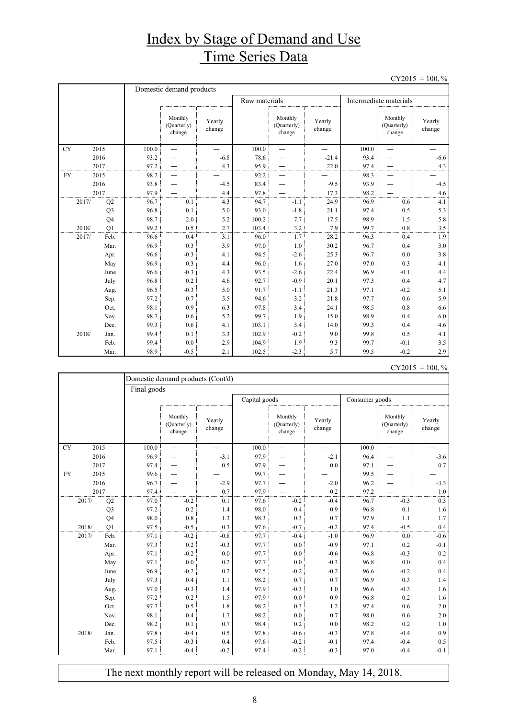## Index by Stage of Demand and Use Time Series Data

 $CY2015 = 100, \%$ 

|           |                |       | Domestic demand products         |                  |               |                                  |                  |       |                                  |                  |
|-----------|----------------|-------|----------------------------------|------------------|---------------|----------------------------------|------------------|-------|----------------------------------|------------------|
|           |                |       |                                  |                  | Raw materials |                                  |                  |       | Intermediate materials           |                  |
|           |                |       | Monthly<br>(Quarterly)<br>change | Yearly<br>change |               | Monthly<br>(Quarterly)<br>change | Yearly<br>change |       | Monthly<br>(Quarterly)<br>change | Yearly<br>change |
| <b>CY</b> | 2015           | 100.0 | $\overline{\phantom{0}}$         |                  | 100.0         |                                  |                  | 100.0 | $\overline{\phantom{0}}$         |                  |
|           | 2016           | 93.2  |                                  | $-6.8$           | 78.6          |                                  | $-21.4$          | 93.4  |                                  | $-6.6$           |
|           | 2017           | 97.2  |                                  | 4.3              | 95.9          |                                  | 22.0             | 97.4  |                                  | 4.3              |
| <b>FY</b> | 2015           | 98.2  |                                  |                  | 92.2          |                                  |                  | 98.3  |                                  |                  |
|           | 2016           | 93.8  |                                  | $-4.5$           | 83.4          |                                  | $-9.5$           | 93.9  |                                  | $-4.5$           |
|           | 2017           | 97.9  |                                  | 4.4              | 97.8          |                                  | 17.3             | 98.2  |                                  | 4.6              |
| 2017/     | Q2             | 96.7  | 0.1                              | 4.3              | 94.7          | $-1.1$                           | 24.9             | 96.9  | 0.6                              | 4.1              |
|           | Q <sub>3</sub> | 96.8  | 0.1                              | 5.0              | 93.0          | $-1.8$                           | 21.1             | 97.4  | 0.5                              | 5.3              |
|           | Q <sub>4</sub> | 98.7  | 2.0                              | 5.2              | 100.2         | 7.7                              | 17.5             | 98.9  | 1.5                              | 5.8              |
| 2018/     | O <sub>1</sub> | 99.2  | 0.5                              | 2.7              | 103.4         | 3.2                              | 7.9              | 99.7  | 0.8                              | 3.5              |
| 2017/     | Feb.           | 96.6  | 0.4                              | 3.1              | 96.0          | 1.7                              | 28.2             | 96.3  | 0.4                              | 1.9              |
|           | Mar.           | 96.9  | 0.3                              | 3.9              | 97.0          | 1.0                              | 30.2             | 96.7  | 0.4                              | 3.0              |
|           | Apr.           | 96.6  | $-0.3$                           | 4.1              | 94.5          | $-2.6$                           | 25.3             | 96.7  | 0.0                              | 3.8              |
|           | May            | 96.9  | 0.3                              | 4.4              | 96.0          | 1.6                              | 27.0             | 97.0  | 0.3                              | 4.1              |
|           | June           | 96.6  | $-0.3$                           | 4.3              | 93.5          | $-2.6$                           | 22.4             | 96.9  | $-0.1$                           | 4.4              |
|           | July           | 96.8  | 0.2                              | 4.6              | 92.7          | $-0.9$                           | 20.1             | 97.3  | 0.4                              | 4.7              |
|           | Aug.           | 96.5  | $-0.3$                           | 5.0              | 91.7          | $-1.1$                           | 21.3             | 97.1  | $-0.2$                           | 5.1              |
|           | Sep.           | 97.2  | 0.7                              | 5.5              | 94.6          | 3.2                              | 21.8             | 97.7  | 0.6                              | 5.9              |
|           | Oct.           | 98.1  | 0.9                              | 6.3              | 97.8          | 3.4                              | 24.1             | 98.5  | 0.8                              | 6.6              |
|           | Nov.           | 98.7  | 0.6                              | 5.2              | 99.7          | 1.9                              | 15.0             | 98.9  | 0.4                              | 6.0              |
|           | Dec.           | 99.3  | 0.6                              | 4.1              | 103.1         | 3.4                              | 14.0             | 99.3  | 0.4                              | 4.6              |
| 2018/     | Jan.           | 99.4  | 0.1                              | 3.3              | 102.9         | $-0.2$                           | 9.0              | 99.8  | 0.5                              | 4.1              |
|           | Feb.           | 99.4  | 0.0                              | 2.9              | 104.9         | 1.9                              | 9.3              | 99.7  | $-0.1$                           | 3.5              |
|           | Mar.           | 98.9  | $-0.5$                           | 2.1              | 102.5         | $-2.3$                           | 5.7              | 99.5  | $-0.2$                           | 2.9              |

 $CY2015 = 100, \%$ 

|           |       |                | Domestic demand products (Cont'd) |                                  |                  |       |                                  |                  |       |                                  |                  |  |  |
|-----------|-------|----------------|-----------------------------------|----------------------------------|------------------|-------|----------------------------------|------------------|-------|----------------------------------|------------------|--|--|
|           |       |                |                                   | Final goods                      |                  |       |                                  |                  |       |                                  |                  |  |  |
|           |       |                |                                   |                                  |                  |       | Capital goods                    |                  |       | Consumer goods                   |                  |  |  |
|           |       |                |                                   | Monthly<br>(Quarterly)<br>change | Yearly<br>change |       | Monthly<br>(Quarterly)<br>change | Yearly<br>change |       | Monthly<br>(Quarterly)<br>change | Yearly<br>change |  |  |
| <b>CY</b> | 2015  |                | 100.0                             |                                  |                  | 100.0 |                                  |                  | 100.0 |                                  |                  |  |  |
|           | 2016  |                | 96.9                              |                                  | $-3.1$           | 97.9  |                                  | $-2.1$           | 96.4  |                                  | $-3.6$           |  |  |
|           | 2017  |                | 97.4                              |                                  | 0.5              | 97.9  |                                  | 0.0              | 97.1  |                                  | 0.7              |  |  |
| <b>FY</b> | 2015  |                | 99.6                              |                                  |                  | 99.7  |                                  |                  | 99.5  |                                  |                  |  |  |
|           | 2016  |                | 96.7                              |                                  | $-2.9$           | 97.7  |                                  | $-2.0$           | 96.2  |                                  | $-3.3$           |  |  |
|           | 2017  |                | 97.4                              |                                  | 0.7              | 97.9  |                                  | 0.2              | 97.2  |                                  | 1.0              |  |  |
|           | 2017/ | Q2             | 97.0                              | $-0.2$                           | 0.1              | 97.6  | $-0.2$                           | $-0.4$           | 96.7  | $-0.3$                           | 0.3              |  |  |
|           |       | Q <sub>3</sub> | 97.2                              | 0.2                              | 1.4              | 98.0  | 0.4                              | 0.9              | 96.8  | 0.1                              | 1.6              |  |  |
|           |       | Q4             | 98.0                              | 0.8                              | 1.3              | 98.3  | 0.3                              | 0.7              | 97.9  | 1.1                              | 1.7              |  |  |
|           | 2018/ | Q1             | 97.5                              | $-0.5$                           | 0.3              | 97.6  | $-0.7$                           | $-0.2$           | 97.4  | $-0.5$                           | 0.4              |  |  |
|           | 2017/ | Feb.           | 97.1                              | $-0.2$                           | $-0.8$           | 97.7  | $-0.4$                           | $-1.0$           | 96.9  | 0.0                              | $-0.6$           |  |  |
|           |       | Mar.           | 97.3                              | 0.2                              | $-0.3$           | 97.7  | 0.0                              | $-0.9$           | 97.1  | 0.2                              | $-0.1$           |  |  |
|           |       | Apr.           | 97.1                              | $-0.2$                           | 0.0              | 97.7  | 0.0                              | $-0.6$           | 96.8  | $-0.3$                           | 0.2              |  |  |
|           |       | May            | 97.1                              | 0.0                              | 0.2              | 97.7  | 0.0                              | $-0.3$           | 96.8  | 0.0                              | 0.4              |  |  |
|           |       | June           | 96.9                              | $-0.2$                           | 0.2              | 97.5  | $-0.2$                           | $-0.2$           | 96.6  | $-0.2$                           | 0.4              |  |  |
|           |       | July           | 97.3                              | 0.4                              | 1.1              | 98.2  | 0.7                              | 0.7              | 96.9  | 0.3                              | 1.4              |  |  |
|           |       | Aug.           | 97.0                              | $-0.3$                           | 1.4              | 97.9  | $-0.3$                           | 1.0              | 96.6  | $-0.3$                           | 1.6              |  |  |
|           |       | Sep.           | 97.2                              | 0.2                              | 1.5              | 97.9  | 0.0                              | 0.9              | 96.8  | 0.2                              | 1.6              |  |  |
|           |       | Oct.           | 97.7                              | 0.5                              | 1.8              | 98.2  | 0.3                              | 1.2              | 97.4  | 0.6                              | 2.0              |  |  |
|           |       | Nov.           | 98.1                              | 0.4                              | 1.7              | 98.2  | 0.0                              | 0.7              | 98.0  | 0.6                              | 2.0              |  |  |
|           |       | Dec.           | 98.2                              | 0.1                              | 0.7              | 98.4  | 0.2                              | 0.0              | 98.2  | 0.2                              | 1.0              |  |  |
|           | 2018/ | Jan.           | 97.8                              | $-0.4$                           | 0.5              | 97.8  | $-0.6$                           | $-0.3$           | 97.8  | $-0.4$                           | 0.9              |  |  |
|           |       | Feb.           | 97.5                              | $-0.3$                           | 0.4              | 97.6  | $-0.2$                           | $-0.1$           | 97.4  | $-0.4$                           | 0.5              |  |  |
|           |       | Mar.           | 97.1                              | $-0.4$                           | $-0.2$           | 97.4  | $-0.2$                           | $-0.3$           | 97.0  | $-0.4$                           | $-0.1$           |  |  |

The next monthly report will be released on Monday, May 14, 2018.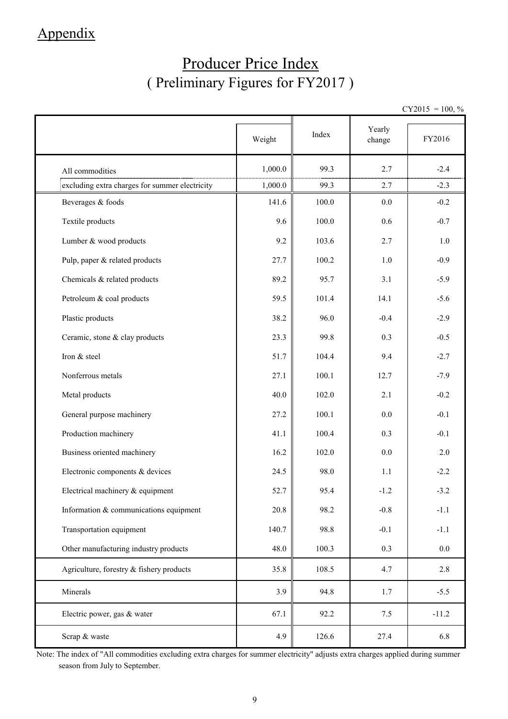## Appendix

# Producer Price Index ( Preliminary Figures for FY2017 )

 $CY2015 = 100, \%$ 

|                                                | Weight  | Index | Yearly<br>change | FY2016  |
|------------------------------------------------|---------|-------|------------------|---------|
| All commodities                                | 1,000.0 | 99.3  | 2.7              | $-2.4$  |
| excluding extra charges for summer electricity | 1,000.0 | 99.3  | 2.7              | $-2.3$  |
| Beverages & foods                              | 141.6   | 100.0 | 0.0              | $-0.2$  |
| Textile products                               | 9.6     | 100.0 | 0.6              | $-0.7$  |
| Lumber & wood products                         | 9.2     | 103.6 | 2.7              | 1.0     |
| Pulp, paper & related products                 | 27.7    | 100.2 | 1.0              | $-0.9$  |
| Chemicals & related products                   | 89.2    | 95.7  | 3.1              | $-5.9$  |
| Petroleum & coal products                      | 59.5    | 101.4 | 14.1             | $-5.6$  |
| Plastic products                               | 38.2    | 96.0  | $-0.4$           | $-2.9$  |
| Ceramic, stone & clay products                 | 23.3    | 99.8  | 0.3              | $-0.5$  |
| Iron & steel                                   | 51.7    | 104.4 | 9.4              | $-2.7$  |
| Nonferrous metals                              | 27.1    | 100.1 | 12.7             | $-7.9$  |
| Metal products                                 | 40.0    | 102.0 | 2.1              | $-0.2$  |
| General purpose machinery                      | 27.2    | 100.1 | 0.0              | $-0.1$  |
| Production machinery                           | 41.1    | 100.4 | 0.3              | $-0.1$  |
| Business oriented machinery                    | 16.2    | 102.0 | 0.0              | 2.0     |
| Electronic components & devices                | 24.5    | 98.0  | 1.1              | $-2.2$  |
| Electrical machinery & equipment               | 52.7    | 95.4  | $-1.2$           | $-3.2$  |
| Information $&$ communications equipment       | 20.8    | 98.2  | $-0.8$           | $-1.1$  |
| Transportation equipment                       | 140.7   | 98.8  | $-0.1$           | $-1.1$  |
| Other manufacturing industry products          | 48.0    | 100.3 | 0.3              | $0.0\,$ |
| Agriculture, forestry & fishery products       | 35.8    | 108.5 | 4.7              | 2.8     |
| Minerals                                       | 3.9     | 94.8  | 1.7              | $-5.5$  |
| Electric power, gas & water                    | 67.1    | 92.2  | 7.5              | $-11.2$ |
| Scrap & waste                                  | 4.9     | 126.6 | 27.4             | 6.8     |

Note: The index of "All commodities excluding extra charges for summer electricity" adjusts extra charges applied during summer season from July to September.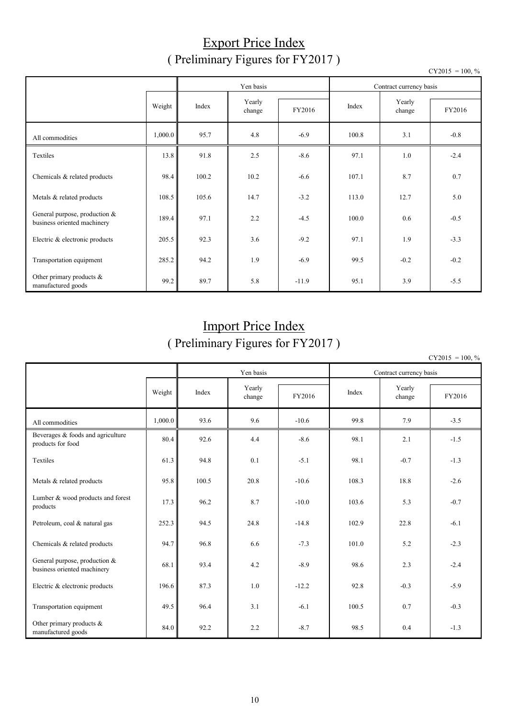#### Export Price Index ( Preliminary Figures for FY2017 )

|                                                              |         |           |        |                         |       |        | $CY2015 = 100, \%$ |
|--------------------------------------------------------------|---------|-----------|--------|-------------------------|-------|--------|--------------------|
|                                                              |         | Yen basis |        | Contract currency basis |       |        |                    |
|                                                              |         |           | Yearly |                         |       | Yearly |                    |
|                                                              | Weight  | Index     | change | FY2016                  | Index | change | FY2016             |
| All commodities                                              | 1,000.0 | 95.7      | 4.8    | $-6.9$                  | 100.8 | 3.1    | $-0.8$             |
| Textiles                                                     | 13.8    | 91.8      | 2.5    | $-8.6$                  | 97.1  | 1.0    | $-2.4$             |
| Chemicals & related products                                 | 98.4    | 100.2     | 10.2   | $-6.6$                  | 107.1 | 8.7    | 0.7                |
| Metals & related products                                    | 108.5   | 105.6     | 14.7   | $-3.2$                  | 113.0 | 12.7   | 5.0                |
| General purpose, production &<br>business oriented machinery | 189.4   | 97.1      | 2.2    | $-4.5$                  | 100.0 | 0.6    | $-0.5$             |
| Electric & electronic products                               | 205.5   | 92.3      | 3.6    | $-9.2$                  | 97.1  | 1.9    | $-3.3$             |
| Transportation equipment                                     | 285.2   | 94.2      | 1.9    | $-6.9$                  | 99.5  | $-0.2$ | $-0.2$             |
| Other primary products $\&$<br>manufactured goods            | 99.2    | 89.7      | 5.8    | $-11.9$                 | 95.1  | 3.9    | $-5.5$             |

## Import Price Index ( Preliminary Figures for FY2017 )

 $CY2015 = 100, \%$ 

|                                                              |         |       | Yen basis        |         |       | Contract currency basis |        |  |  |
|--------------------------------------------------------------|---------|-------|------------------|---------|-------|-------------------------|--------|--|--|
|                                                              | Weight  | Index | Yearly<br>change | FY2016  | Index | Yearly<br>change        | FY2016 |  |  |
| All commodities                                              | 1,000.0 | 93.6  | 9.6              | $-10.6$ | 99.8  | 7.9                     | $-3.5$ |  |  |
| Beverages & foods and agriculture<br>products for food       | 80.4    | 92.6  | 4.4              | $-8.6$  | 98.1  | 2.1                     | $-1.5$ |  |  |
| Textiles                                                     | 61.3    | 94.8  | 0.1              | $-5.1$  | 98.1  | $-0.7$                  | $-1.3$ |  |  |
| Metals & related products                                    | 95.8    | 100.5 | 20.8             | $-10.6$ | 108.3 | 18.8                    | $-2.6$ |  |  |
| Lumber & wood products and forest<br>products                | 17.3    | 96.2  | 8.7              | $-10.0$ | 103.6 | 5.3                     | $-0.7$ |  |  |
| Petroleum, coal & natural gas                                | 252.3   | 94.5  | 24.8             | $-14.8$ | 102.9 | 22.8                    | $-6.1$ |  |  |
| Chemicals & related products                                 | 94.7    | 96.8  | 6.6              | $-7.3$  | 101.0 | 5.2                     | $-2.3$ |  |  |
| General purpose, production &<br>business oriented machinery | 68.1    | 93.4  | 4.2              | $-8.9$  | 98.6  | 2.3                     | $-2.4$ |  |  |
| Electric & electronic products                               | 196.6   | 87.3  | 1.0              | $-12.2$ | 92.8  | $-0.3$                  | $-5.9$ |  |  |
| Transportation equipment                                     | 49.5    | 96.4  | 3.1              | $-6.1$  | 100.5 | 0.7                     | $-0.3$ |  |  |
| Other primary products $\&$<br>manufactured goods            | 84.0    | 92.2  | 2.2              | $-8.7$  | 98.5  | 0.4                     | $-1.3$ |  |  |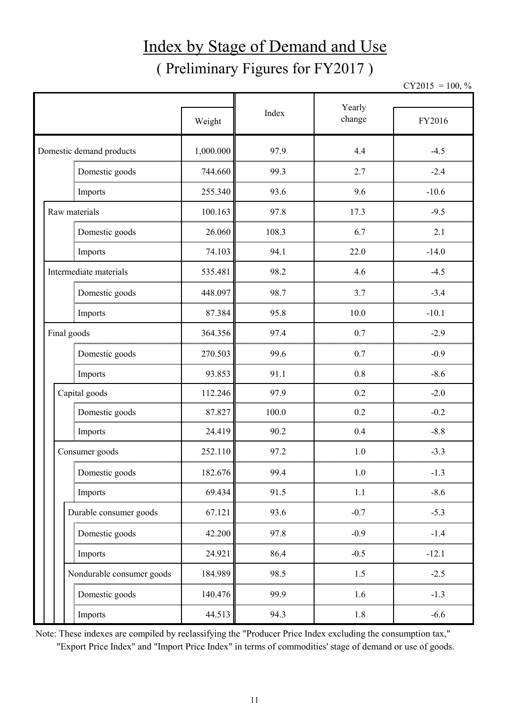# Index by Stage of Demand and Use ( Preliminary Figures for FY2017 )

 $CY2015 = 100, \%$ 

|                           |           |       | Yearly |         |  |
|---------------------------|-----------|-------|--------|---------|--|
|                           | Weight    | Index | change | FY2016  |  |
| Domestic demand products  | 1,000.000 | 97.9  | 4.4    | $-4.5$  |  |
| Domestic goods            | 744.660   | 99.3  | 2.7    | $-2.4$  |  |
| Imports                   | 255.340   | 93.6  | 9.6    | $-10.6$ |  |
| Raw materials             | 100.163   | 97.8  | 17.3   | $-9.5$  |  |
| Domestic goods            | 26.060    | 108.3 | 6.7    | 2.1     |  |
| Imports                   | 74.103    | 94.1  | 22.0   | $-14.0$ |  |
| Intermediate materials    | 535.481   | 98.2  | 4.6    | $-4.5$  |  |
| Domestic goods            | 448.097   | 98.7  | 3.7    | $-3.4$  |  |
| Imports                   | 87.384    | 95.8  | 10.0   | $-10.1$ |  |
| Final goods               | 364.356   | 97.4  | 0.7    | $-2.9$  |  |
| Domestic goods            | 270.503   | 99.6  | 0.7    | $-0.9$  |  |
| Imports                   | 93.853    | 91.1  | 0.8    | $-8.6$  |  |
| Capital goods             | 112.246   | 97.9  | 0.2    | $-2.0$  |  |
| Domestic goods            | 87.827    | 100.0 | 0.2    | $-0.2$  |  |
| Imports                   | 24.419    | 90.2  | 0.4    | $-8.8$  |  |
| Consumer goods            | 252.110   | 97.2  | 1.0    | $-3.3$  |  |
| Domestic goods            | 182.676   | 99.4  | 1.0    | $-1.3$  |  |
| Imports                   | 69.434    | 91.5  | 1.1    | $-8.6$  |  |
| Durable consumer goods    | 67.121    | 93.6  | $-0.7$ | $-5.3$  |  |
| Domestic goods            | 42.200    | 97.8  | $-0.9$ | $-1.4$  |  |
| Imports                   | 24.921    | 86.4  | $-0.5$ | $-12.1$ |  |
| Nondurable consumer goods | 184.989   | 98.5  | 1.5    | $-2.5$  |  |
| Domestic goods            | 140.476   | 99.9  | 1.6    | $-1.3$  |  |
| Imports                   | 44.513    | 94.3  | 1.8    | $-6.6$  |  |

Note: These indexes are compiled by reclassifying the "Producer Price Index excluding the consumption tax," "Export Price Index" and "Import Price Index" in terms of commodities' stage of demand or use of goods.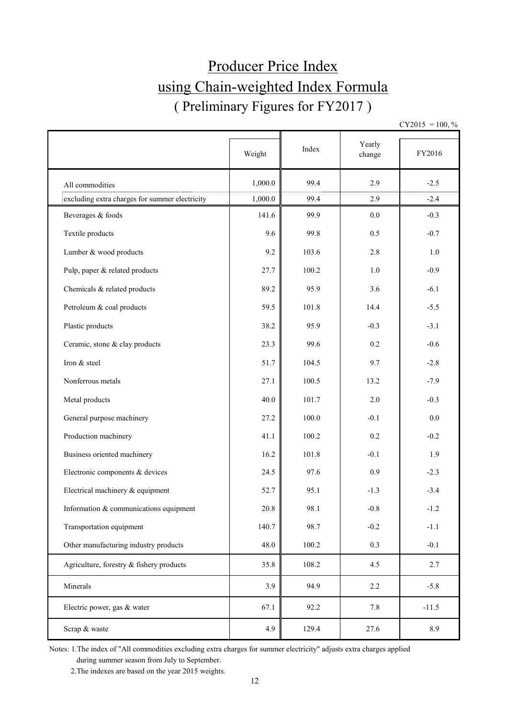# Producer Price Index using Chain-weighted Index Formula ( Preliminary Figures for FY2017 )

 $CY2015 = 100, \%$ 

|                                                | Weight  | Index | Yearly<br>change | FY2016  |
|------------------------------------------------|---------|-------|------------------|---------|
| All commodities                                | 1,000.0 | 99.4  | 2.9              | $-2.5$  |
| excluding extra charges for summer electricity | 1,000.0 | 99.4  | 2.9              | $-2.4$  |
| Beverages & foods                              | 141.6   | 99.9  | $0.0\,$          | $-0.3$  |
| Textile products                               | 9.6     | 99.8  | 0.5              | $-0.7$  |
| Lumber & wood products                         | 9.2     | 103.6 | 2.8              | 1.0     |
| Pulp, paper & related products                 | 27.7    | 100.2 | $1.0\,$          | $-0.9$  |
| Chemicals & related products                   | 89.2    | 95.9  | 3.6              | $-6.1$  |
| Petroleum & coal products                      | 59.5    | 101.8 | 14.4             | $-5.5$  |
| Plastic products                               | 38.2    | 95.9  | $-0.3$           | $-3.1$  |
| Ceramic, stone & clay products                 | 23.3    | 99.6  | 0.2              | $-0.6$  |
| Iron & steel                                   | 51.7    | 104.5 | 9.7              | $-2.8$  |
| Nonferrous metals                              | 27.1    | 100.5 | 13.2             | $-7.9$  |
| Metal products                                 | 40.0    | 101.7 | $2.0\,$          | $-0.3$  |
| General purpose machinery                      | 27.2    | 100.0 | $-0.1$           | 0.0     |
| Production machinery                           | 41.1    | 100.2 | 0.2              | $-0.2$  |
| Business oriented machinery                    | 16.2    | 101.8 | $-0.1$           | 1.9     |
| Electronic components & devices                | 24.5    | 97.6  | 0.9              | $-2.3$  |
| Electrical machinery & equipment               | 52.7    | 95.1  | $-1.3$           | $-3.4$  |
| Information & communications equipment         | 20.8    | 98.1  | $-0.8$           | $-1.2$  |
| Transportation equipment                       | 140.7   | 98.7  | $-0.2$           | $-1.1$  |
| Other manufacturing industry products          | 48.0    | 100.2 | 0.3              | $-0.1$  |
| Agriculture, forestry & fishery products       | 35.8    | 108.2 | 4.5              | 2.7     |
| Minerals                                       | 3.9     | 94.9  | 2.2              | $-5.8$  |
| Electric power, gas & water                    | 67.1    | 92.2  | 7.8              | $-11.5$ |
| Scrap & waste                                  | 4.9     | 129.4 | 27.6             | 8.9     |

Notes: 1.The index of "All commodities excluding extra charges for summer electricity" adjusts extra charges applied during summer season from July to September.

2.The indexes are based on the year 2015 weights.